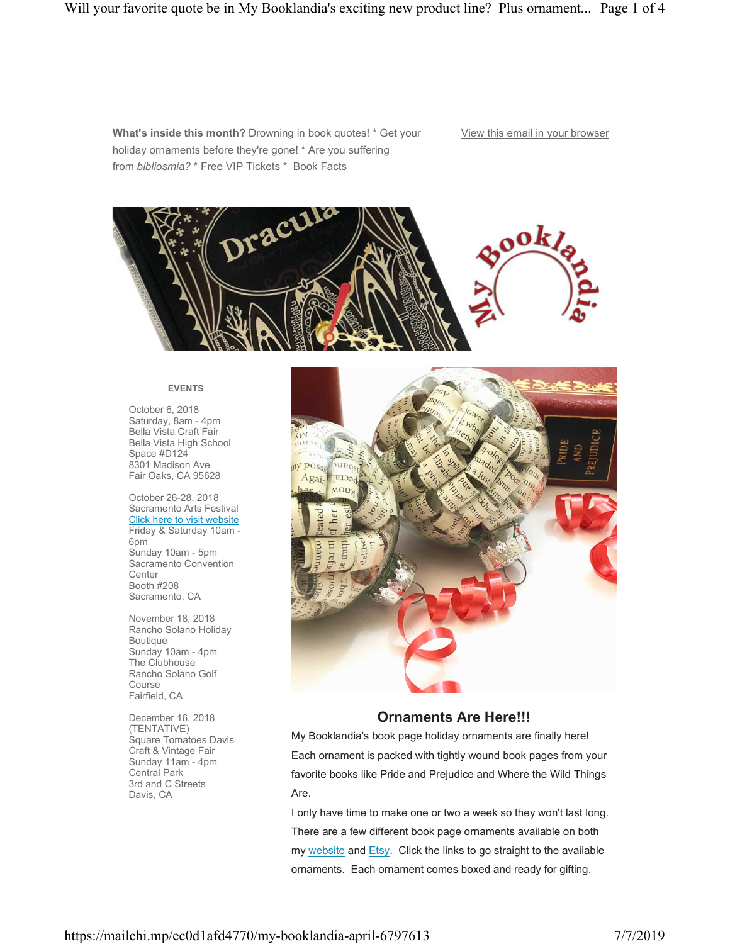**What's inside this month?** Drowning in book quotes! \* Get your holiday ornaments before they're gone! \* Are you suffering from *bibliosmia?* \* Free VIP Tickets \* Book Facts

### View this email in your browser



### **EVENTS**

October 6, 2018 Saturday, 8am - 4pm Bella Vista Craft Fair Bella Vista High School Space #D124 8301 Madison Ave Fair Oaks, CA 95628

October 26-28, 2018 Sacramento Arts Festival Click here to visit website Friday & Saturday 10am - 6pm Sunday 10am - 5pm Sacramento Convention **Center** Booth #208 Sacramento, CA

November 18, 2018 Rancho Solano Holiday Boutique Sunday 10am - 4pm The Clubhouse Rancho Solano Golf Course Fairfield, CA

December 16, 2018 (TENTATIVE) Square Tomatoes Davis Craft & Vintage Fair Sunday 11am - 4pm Central Park 3rd and C Streets Davis, CA



# **Ornaments Are Here!!!**

My Booklandia's book page holiday ornaments are finally here! Each ornament is packed with tightly wound book pages from your favorite books like Pride and Prejudice and Where the Wild Things Are.

I only have time to make one or two a week so they won't last long. There are a few different book page ornaments available on both my website and Etsy. Click the links to go straight to the available ornaments. Each ornament comes boxed and ready for gifting.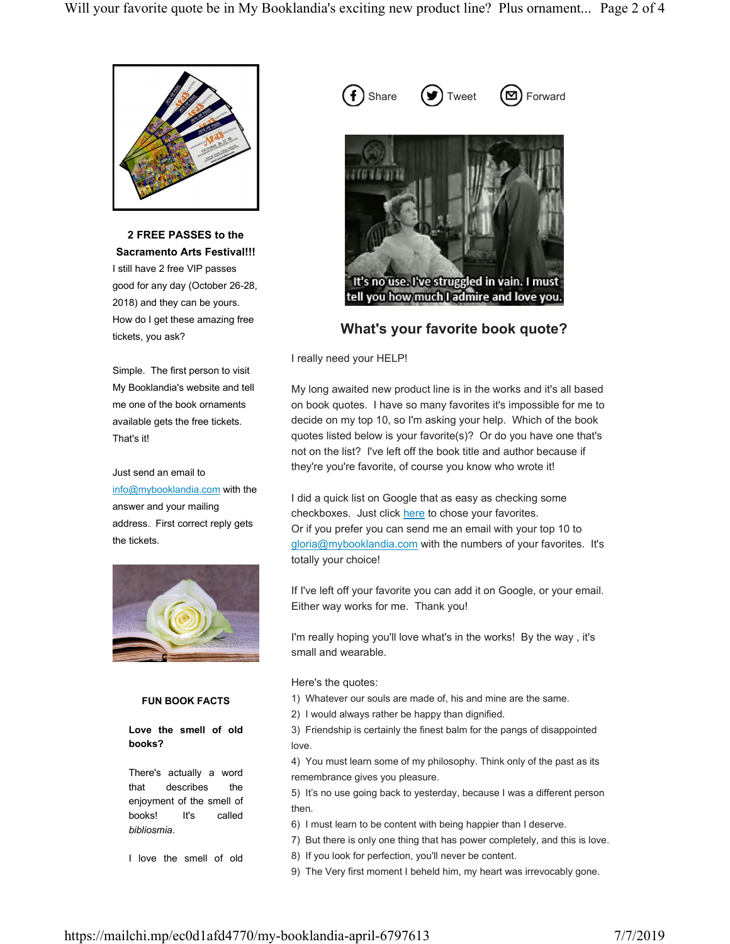

**2 FREE PASSES to the Sacramento Arts Festival!!!** I still have 2 free VIP passes good for any day (October 26-28, 2018) and they can be yours. How do I get these amazing free tickets, you ask?

Simple. The first person to visit My Booklandia's website and tell me one of the book ornaments available gets the free tickets. That's it!

Just send an email to info@mybooklandia.com with the answer and your mailing address. First correct reply gets the tickets.



## **FUN BOOK FACTS**

**Love the smell of old books?**

There's actually a word that describes the enjoyment of the smell of books! It's called *bibliosmia*.

I love the smell of old

 $( f )$  Share  $( \blacktriangleright \hspace{- 0.45cm} \blacktriangleright \hspace{-0.45cm} \intercal )$  Tweet  $( \blacktriangleright \hspace{- 0.45cm} \blacksquare )$  Forward



**What's your favorite book quote?**

I really need your HELP!

My long awaited new product line is in the works and it's all based on book quotes. I have so many favorites it's impossible for me to decide on my top 10, so I'm asking your help. Which of the book quotes listed below is your favorite(s)? Or do you have one that's not on the list? I've left off the book title and author because if they're you're favorite, of course you know who wrote it!

I did a quick list on Google that as easy as checking some checkboxes. Just click here to chose your favorites. Or if you prefer you can send me an email with your top 10 to gloria@mybooklandia.com with the numbers of your favorites. It's totally your choice!

If I've left off your favorite you can add it on Google, or your email. Either way works for me. Thank you!

I'm really hoping you'll love what's in the works! By the way , it's small and wearable.

Here's the quotes:

- 1) Whatever our souls are made of, his and mine are the same.
- 2) I would always rather be happy than dignified.

3) Friendship is certainly the finest balm for the pangs of disappointed love.

4) You must learn some of my philosophy. Think only of the past as its remembrance gives you pleasure.

5) It's no use going back to yesterday, because I was a different person then.

6) I must learn to be content with being happier than I deserve.

7) But there is only one thing that has power completely, and this is love.

8) If you look for perfection, you'll never be content.

9) The Very first moment I beheld him, my heart was irrevocably gone.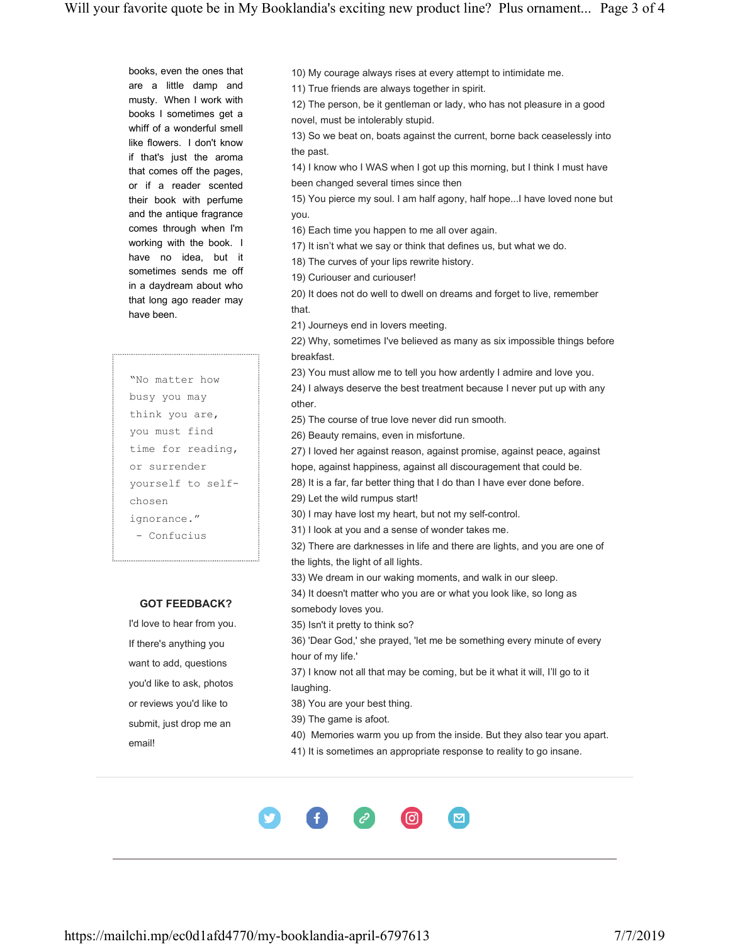books, even the ones that are a little damp and musty. When I work with books I sometimes get a whiff of a wonderful smell like flowers. I don't know if that's just the aroma that comes off the pages, or if a reader scented their book with perfume and the antique fragrance comes through when I'm working with the book. I have no idea, but it sometimes sends me off in a daydream about who that long ago reader may have been.

"No matter how busy you may think you are, you must find time for reading, or surrender yourself to selfchosen ignorance." - Confucius

# **GOT FEEDBACK?**

I'd love to hear from you. If there's anything you want to add, questions you'd like to ask, photos or reviews you'd like to submit, just drop me an email!

10) My courage always rises at every attempt to intimidate me.

11) True friends are always together in spirit.

12) The person, be it gentleman or lady, who has not pleasure in a good novel, must be intolerably stupid.

13) So we beat on, boats against the current, borne back ceaselessly into the past.

14) I know who I WAS when I got up this morning, but I think I must have been changed several times since then

15) You pierce my soul. I am half agony, half hope...I have loved none but you.

16) Each time you happen to me all over again.

17) It isn't what we say or think that defines us, but what we do.

18) The curves of your lips rewrite history.

19) Curiouser and curiouser!

20) It does not do well to dwell on dreams and forget to live, remember that.

21) Journeys end in lovers meeting.

22) Why, sometimes I've believed as many as six impossible things before breakfast.

23) You must allow me to tell you how ardently I admire and love you.

24) I always deserve the best treatment because I never put up with any other.

25) The course of true love never did run smooth.

26) Beauty remains, even in misfortune.

27) I loved her against reason, against promise, against peace, against hope, against happiness, against all discouragement that could be.

28) It is a far, far better thing that I do than I have ever done before.

29) Let the wild rumpus start!

30) I may have lost my heart, but not my self-control.

31) I look at you and a sense of wonder takes me.

32) There are darknesses in life and there are lights, and you are one of the lights, the light of all lights.

33) We dream in our waking moments, and walk in our sleep.

34) It doesn't matter who you are or what you look like, so long as somebody loves you.

35) Isn't it pretty to think so?

36) 'Dear God,' she prayed, 'let me be something every minute of every hour of my life.'

37) I know not all that may be coming, but be it what it will, I'll go to it laughing.

38) You are your best thing.

39) The game is afoot.

40) Memories warm you up from the inside. But they also tear you apart.

41) It is sometimes an appropriate response to reality to go insane.